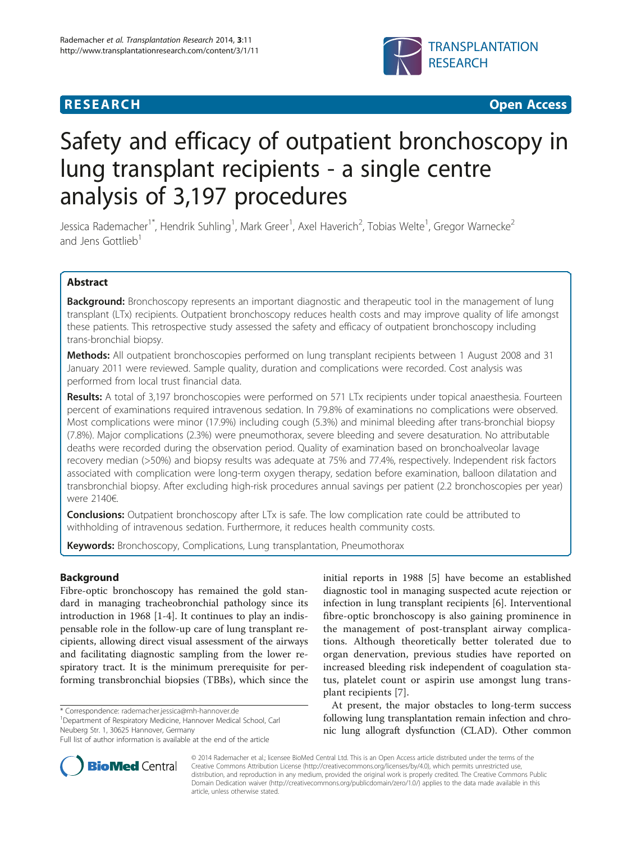## **RESEARCH CHINESE ARCH CHINESE ARCH CHINESE ARCH <b>CHINESE ARCH**



# Safety and efficacy of outpatient bronchoscopy in lung transplant recipients - a single centre analysis of 3,197 procedures

Jessica Rademacher<sup>1\*</sup>, Hendrik Suhling<sup>1</sup>, Mark Greer<sup>1</sup>, Axel Haverich<sup>2</sup>, Tobias Welte<sup>1</sup>, Gregor Warnecke<sup>2</sup> and Jens Gottlieb<sup>1</sup>

## Abstract

Background: Bronchoscopy represents an important diagnostic and therapeutic tool in the management of lung transplant (LTx) recipients. Outpatient bronchoscopy reduces health costs and may improve quality of life amongst these patients. This retrospective study assessed the safety and efficacy of outpatient bronchoscopy including trans-bronchial biopsy.

**Methods:** All outpatient bronchoscopies performed on lung transplant recipients between 1 August 2008 and 31 January 2011 were reviewed. Sample quality, duration and complications were recorded. Cost analysis was performed from local trust financial data.

Results: A total of 3,197 bronchoscopies were performed on 571 LTx recipients under topical anaesthesia. Fourteen percent of examinations required intravenous sedation. In 79.8% of examinations no complications were observed. Most complications were minor (17.9%) including cough (5.3%) and minimal bleeding after trans-bronchial biopsy (7.8%). Major complications (2.3%) were pneumothorax, severe bleeding and severe desaturation. No attributable deaths were recorded during the observation period. Quality of examination based on bronchoalveolar lavage recovery median (>50%) and biopsy results was adequate at 75% and 77.4%, respectively. Independent risk factors associated with complication were long-term oxygen therapy, sedation before examination, balloon dilatation and transbronchial biopsy. After excluding high-risk procedures annual savings per patient (2.2 bronchoscopies per year) were 2140€.

**Conclusions:** Outpatient bronchoscopy after LTx is safe. The low complication rate could be attributed to withholding of intravenous sedation. Furthermore, it reduces health community costs.

**Keywords:** Bronchoscopy, Complications, Lung transplantation, Pneumothorax

## Background

Fibre-optic bronchoscopy has remained the gold standard in managing tracheobronchial pathology since its introduction in 1968 [\[1](#page-5-0)-[4\]](#page-5-0). It continues to play an indispensable role in the follow-up care of lung transplant recipients, allowing direct visual assessment of the airways and facilitating diagnostic sampling from the lower respiratory tract. It is the minimum prerequisite for performing transbronchial biopsies (TBBs), which since the

\* Correspondence: [rademacher.jessica@mh-hannover.de](mailto:rademacher.jessica@mh-hannover.de) <sup>1</sup>

<sup>1</sup>Department of Respiratory Medicine, Hannover Medical School, Carl Neuberg Str. 1, 30625 Hannover, Germany



At present, the major obstacles to long-term success following lung transplantation remain infection and chronic lung allograft dysfunction (CLAD). Other common



© 2014 Rademacher et al.; licensee BioMed Central Ltd. This is an Open Access article distributed under the terms of the Creative Commons Attribution License (<http://creativecommons.org/licenses/by/4.0>), which permits unrestricted use, distribution, and reproduction in any medium, provided the original work is properly credited. The Creative Commons Public Domain Dedication waiver [\(http://creativecommons.org/publicdomain/zero/1.0/\)](http://creativecommons.org/publicdomain/zero/1.0/) applies to the data made available in this article, unless otherwise stated.

Full list of author information is available at the end of the article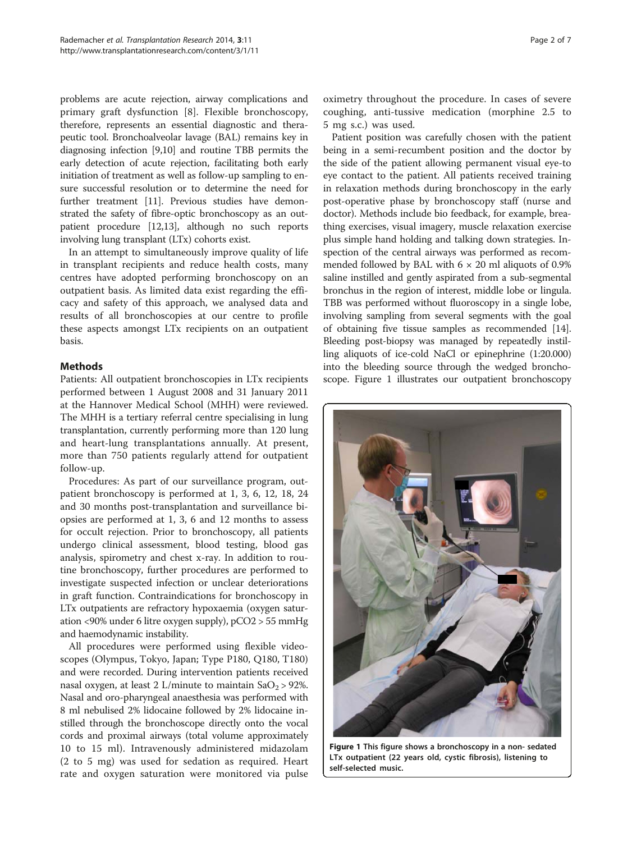<span id="page-1-0"></span>problems are acute rejection, airway complications and primary graft dysfunction [[8\]](#page-5-0). Flexible bronchoscopy, therefore, represents an essential diagnostic and therapeutic tool. Bronchoalveolar lavage (BAL) remains key in diagnosing infection [\[9,10\]](#page-5-0) and routine TBB permits the early detection of acute rejection, facilitating both early initiation of treatment as well as follow-up sampling to ensure successful resolution or to determine the need for further treatment [\[11\]](#page-5-0). Previous studies have demonstrated the safety of fibre-optic bronchoscopy as an outpatient procedure [[12,13\]](#page-5-0), although no such reports involving lung transplant (LTx) cohorts exist.

In an attempt to simultaneously improve quality of life in transplant recipients and reduce health costs, many centres have adopted performing bronchoscopy on an outpatient basis. As limited data exist regarding the efficacy and safety of this approach, we analysed data and results of all bronchoscopies at our centre to profile these aspects amongst LTx recipients on an outpatient basis.

## **Methods**

Patients: All outpatient bronchoscopies in LTx recipients performed between 1 August 2008 and 31 January 2011 at the Hannover Medical School (MHH) were reviewed. The MHH is a tertiary referral centre specialising in lung transplantation, currently performing more than 120 lung and heart-lung transplantations annually. At present, more than 750 patients regularly attend for outpatient follow-up.

Procedures: As part of our surveillance program, outpatient bronchoscopy is performed at 1, 3, 6, 12, 18, 24 and 30 months post-transplantation and surveillance biopsies are performed at 1, 3, 6 and 12 months to assess for occult rejection. Prior to bronchoscopy, all patients undergo clinical assessment, blood testing, blood gas analysis, spirometry and chest x-ray. In addition to routine bronchoscopy, further procedures are performed to investigate suspected infection or unclear deteriorations in graft function. Contraindications for bronchoscopy in LTx outpatients are refractory hypoxaemia (oxygen saturation <90% under 6 litre oxygen supply), pCO2 > 55 mmHg and haemodynamic instability.

All procedures were performed using flexible videoscopes (Olympus, Tokyo, Japan; Type P180, Q180, T180) and were recorded. During intervention patients received nasal oxygen, at least 2 L/minute to maintain  $SaO_2 > 92\%$ . Nasal and oro-pharyngeal anaesthesia was performed with 8 ml nebulised 2% lidocaine followed by 2% lidocaine instilled through the bronchoscope directly onto the vocal cords and proximal airways (total volume approximately 10 to 15 ml). Intravenously administered midazolam (2 to 5 mg) was used for sedation as required. Heart rate and oxygen saturation were monitored via pulse

oximetry throughout the procedure. In cases of severe coughing, anti-tussive medication (morphine 2.5 to 5 mg s.c.) was used.

Patient position was carefully chosen with the patient being in a semi-recumbent position and the doctor by the side of the patient allowing permanent visual eye-to eye contact to the patient. All patients received training in relaxation methods during bronchoscopy in the early post-operative phase by bronchoscopy staff (nurse and doctor). Methods include bio feedback, for example, breathing exercises, visual imagery, muscle relaxation exercise plus simple hand holding and talking down strategies. Inspection of the central airways was performed as recommended followed by BAL with  $6 \times 20$  ml aliquots of 0.9% saline instilled and gently aspirated from a sub-segmental bronchus in the region of interest, middle lobe or lingula. TBB was performed without fluoroscopy in a single lobe, involving sampling from several segments with the goal of obtaining five tissue samples as recommended [[14](#page-5-0)]. Bleeding post-biopsy was managed by repeatedly instilling aliquots of ice-cold NaCl or epinephrine (1:20.000) into the bleeding source through the wedged bronchoscope. Figure 1 illustrates our outpatient bronchoscopy



Figure 1 This figure shows a bronchoscopy in a non- sedated LTx outpatient (22 years old, cystic fibrosis), listening to self-selected music.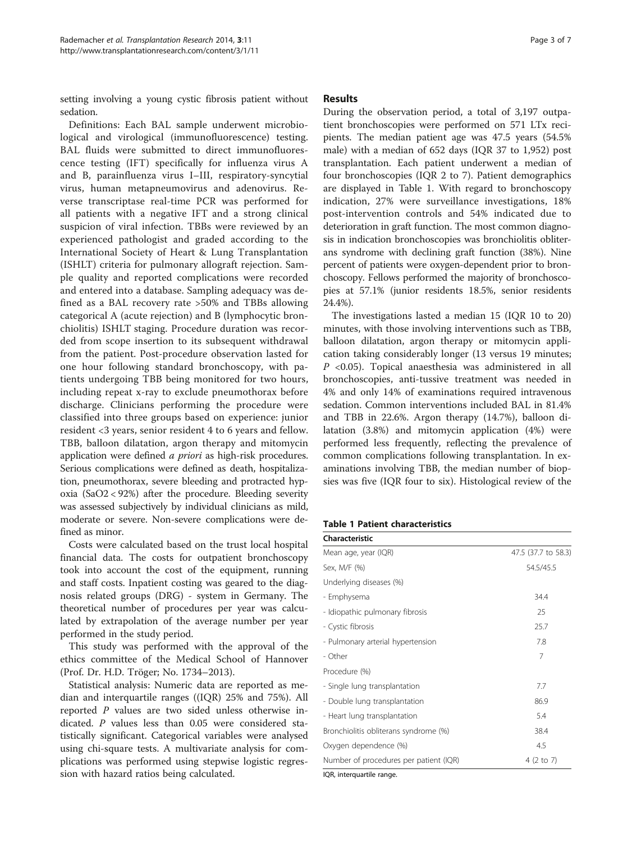setting involving a young cystic fibrosis patient without sedation.

Definitions: Each BAL sample underwent microbiological and virological (immunofluorescence) testing. BAL fluids were submitted to direct immunofluorescence testing (IFT) specifically for influenza virus A and B, parainfluenza virus I–III, respiratory-syncytial virus, human metapneumovirus and adenovirus. Reverse transcriptase real-time PCR was performed for all patients with a negative IFT and a strong clinical suspicion of viral infection. TBBs were reviewed by an experienced pathologist and graded according to the International Society of Heart & Lung Transplantation (ISHLT) criteria for pulmonary allograft rejection. Sample quality and reported complications were recorded and entered into a database. Sampling adequacy was defined as a BAL recovery rate >50% and TBBs allowing categorical A (acute rejection) and B (lymphocytic bronchiolitis) ISHLT staging. Procedure duration was recorded from scope insertion to its subsequent withdrawal from the patient. Post-procedure observation lasted for one hour following standard bronchoscopy, with patients undergoing TBB being monitored for two hours, including repeat x-ray to exclude pneumothorax before discharge. Clinicians performing the procedure were classified into three groups based on experience: junior resident <3 years, senior resident 4 to 6 years and fellow. TBB, balloon dilatation, argon therapy and mitomycin application were defined a priori as high-risk procedures. Serious complications were defined as death, hospitalization, pneumothorax, severe bleeding and protracted hypoxia (SaO2 < 92%) after the procedure. Bleeding severity was assessed subjectively by individual clinicians as mild, moderate or severe. Non-severe complications were defined as minor.

Costs were calculated based on the trust local hospital financial data. The costs for outpatient bronchoscopy took into account the cost of the equipment, running and staff costs. Inpatient costing was geared to the diagnosis related groups (DRG) - system in Germany. The theoretical number of procedures per year was calculated by extrapolation of the average number per year performed in the study period.

This study was performed with the approval of the ethics committee of the Medical School of Hannover (Prof. Dr. H.D. Tröger; No. 1734–2013).

Statistical analysis: Numeric data are reported as median and interquartile ranges ((IQR) 25% and 75%). All reported P values are two sided unless otherwise indicated. P values less than 0.05 were considered statistically significant. Categorical variables were analysed using chi-square tests. A multivariate analysis for complications was performed using stepwise logistic regression with hazard ratios being calculated.

### **Results**

During the observation period, a total of 3,197 outpatient bronchoscopies were performed on 571 LTx recipients. The median patient age was 47.5 years (54.5% male) with a median of 652 days (IQR 37 to 1,952) post transplantation. Each patient underwent a median of four bronchoscopies (IQR 2 to 7). Patient demographics are displayed in Table 1. With regard to bronchoscopy indication, 27% were surveillance investigations, 18% post-intervention controls and 54% indicated due to deterioration in graft function. The most common diagnosis in indication bronchoscopies was bronchiolitis obliterans syndrome with declining graft function (38%). Nine percent of patients were oxygen-dependent prior to bronchoscopy. Fellows performed the majority of bronchoscopies at 57.1% (junior residents 18.5%, senior residents 24.4%).

The investigations lasted a median 15 (IQR 10 to 20) minutes, with those involving interventions such as TBB, balloon dilatation, argon therapy or mitomycin application taking considerably longer (13 versus 19 minutes;  $P \lt 0.05$ ). Topical anaesthesia was administered in all bronchoscopies, anti-tussive treatment was needed in 4% and only 14% of examinations required intravenous sedation. Common interventions included BAL in 81.4% and TBB in 22.6%. Argon therapy (14.7%), balloon dilatation (3.8%) and mitomycin application (4%) were performed less frequently, reflecting the prevalence of common complications following transplantation. In examinations involving TBB, the median number of biopsies was five (IQR four to six). Histological review of the

## Table 1 Patient characteristics

| <b>Characteristic</b>                  |                     |
|----------------------------------------|---------------------|
| Mean age, year (IQR)                   | 47.5 (37.7 to 58.3) |
| Sex, M/F (%)                           | 54.5/45.5           |
| Underlying diseases (%)                |                     |
| - Emphysema                            | 34.4                |
| - Idiopathic pulmonary fibrosis        | 25                  |
| - Cystic fibrosis                      | 25.7                |
| - Pulmonary arterial hypertension      | 7.8                 |
| - Other                                | 7                   |
| Procedure (%)                          |                     |
| - Single lung transplantation          | 7.7                 |
| - Double lung transplantation          | 86.9                |
| - Heart lung transplantation           | 5.4                 |
| Bronchiolitis obliterans syndrome (%)  | 38.4                |
| Oxygen dependence (%)                  | 4.5                 |
| Number of procedures per patient (IQR) | 4 (2 to 7)          |

IQR, interquartile range.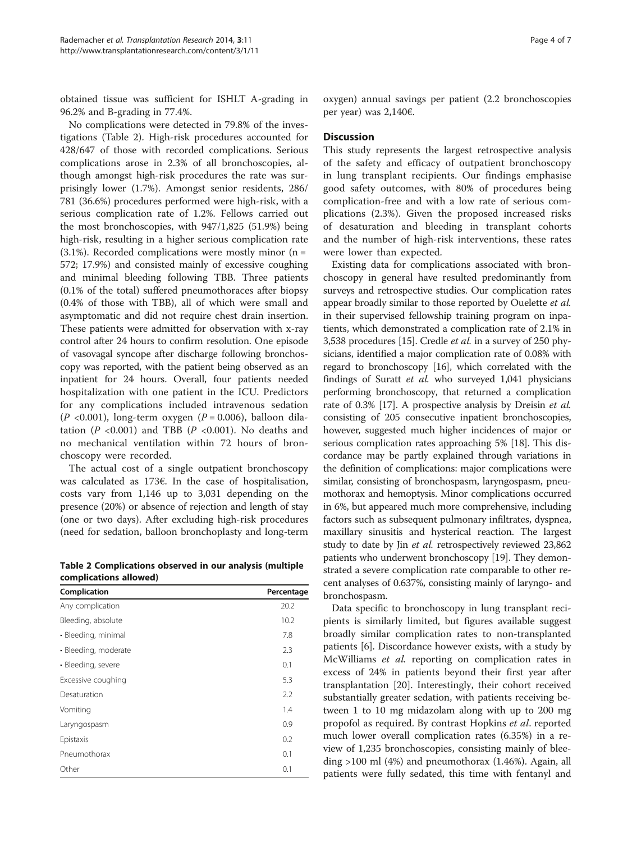obtained tissue was sufficient for ISHLT A-grading in 96.2% and B-grading in 77.4%.

No complications were detected in 79.8% of the investigations (Table 2). High-risk procedures accounted for 428/647 of those with recorded complications. Serious complications arose in 2.3% of all bronchoscopies, although amongst high-risk procedures the rate was surprisingly lower (1.7%). Amongst senior residents, 286/ 781 (36.6%) procedures performed were high-risk, with a serious complication rate of 1.2%. Fellows carried out the most bronchoscopies, with 947/1,825 (51.9%) being high-risk, resulting in a higher serious complication rate  $(3.1\%)$ . Recorded complications were mostly minor  $(n = 1)$ 572; 17.9%) and consisted mainly of excessive coughing and minimal bleeding following TBB. Three patients (0.1% of the total) suffered pneumothoraces after biopsy (0.4% of those with TBB), all of which were small and asymptomatic and did not require chest drain insertion. These patients were admitted for observation with x-ray control after 24 hours to confirm resolution. One episode of vasovagal syncope after discharge following bronchoscopy was reported, with the patient being observed as an inpatient for 24 hours. Overall, four patients needed hospitalization with one patient in the ICU. Predictors for any complications included intravenous sedation  $(P \le 0.001)$ , long-term oxygen  $(P = 0.006)$ , balloon dilatation ( $P < 0.001$ ) and TBB ( $P < 0.001$ ). No deaths and no mechanical ventilation within 72 hours of bronchoscopy were recorded.

The actual cost of a single outpatient bronchoscopy was calculated as 173€. In the case of hospitalisation, costs vary from 1,146 up to 3,031 depending on the presence (20%) or absence of rejection and length of stay (one or two days). After excluding high-risk procedures (need for sedation, balloon bronchoplasty and long-term

Table 2 Complications observed in our analysis (multiple complications allowed)

| Complication         | Percentage |
|----------------------|------------|
| Any complication     | 20.2       |
| Bleeding, absolute   | 10.2       |
| • Bleeding, minimal  | 7.8        |
| • Bleeding, moderate | 2.3        |
| · Bleeding, severe   | 0.1        |
| Excessive coughing   | 5.3        |
| Desaturation         | 2.2        |
| Vomiting             | 1.4        |
| Laryngospasm         | 0.9        |
| Epistaxis            | 0.2        |
| Pneumothorax         | 0.1        |
| Other                | 0.1        |

oxygen) annual savings per patient (2.2 bronchoscopies per year) was 2,140€.

## **Discussion**

This study represents the largest retrospective analysis of the safety and efficacy of outpatient bronchoscopy in lung transplant recipients. Our findings emphasise good safety outcomes, with 80% of procedures being complication-free and with a low rate of serious complications (2.3%). Given the proposed increased risks of desaturation and bleeding in transplant cohorts and the number of high-risk interventions, these rates were lower than expected.

Existing data for complications associated with bronchoscopy in general have resulted predominantly from surveys and retrospective studies. Our complication rates appear broadly similar to those reported by Ouelette et al. in their supervised fellowship training program on inpatients, which demonstrated a complication rate of 2.1% in 3,538 procedures [[15](#page-5-0)]. Credle et al. in a survey of 250 physicians, identified a major complication rate of 0.08% with regard to bronchoscopy [\[16\]](#page-5-0), which correlated with the findings of Suratt et al. who surveyed 1,041 physicians performing bronchoscopy, that returned a complication rate of 0.3% [\[17\]](#page-5-0). A prospective analysis by Dreisin et al. consisting of 205 consecutive inpatient bronchoscopies, however, suggested much higher incidences of major or serious complication rates approaching 5% [\[18](#page-5-0)]. This discordance may be partly explained through variations in the definition of complications: major complications were similar, consisting of bronchospasm, laryngospasm, pneumothorax and hemoptysis. Minor complications occurred in 6%, but appeared much more comprehensive, including factors such as subsequent pulmonary infiltrates, dyspnea, maxillary sinusitis and hysterical reaction. The largest study to date by Jin et al. retrospectively reviewed 23,862 patients who underwent bronchoscopy [[19](#page-5-0)]. They demonstrated a severe complication rate comparable to other recent analyses of 0.637%, consisting mainly of laryngo- and bronchospasm.

Data specific to bronchoscopy in lung transplant recipients is similarly limited, but figures available suggest broadly similar complication rates to non-transplanted patients [\[6](#page-5-0)]. Discordance however exists, with a study by McWilliams et al. reporting on complication rates in excess of 24% in patients beyond their first year after transplantation [[20\]](#page-5-0). Interestingly, their cohort received substantially greater sedation, with patients receiving between 1 to 10 mg midazolam along with up to 200 mg propofol as required. By contrast Hopkins et al. reported much lower overall complication rates (6.35%) in a review of 1,235 bronchoscopies, consisting mainly of bleeding >100 ml (4%) and pneumothorax (1.46%). Again, all patients were fully sedated, this time with fentanyl and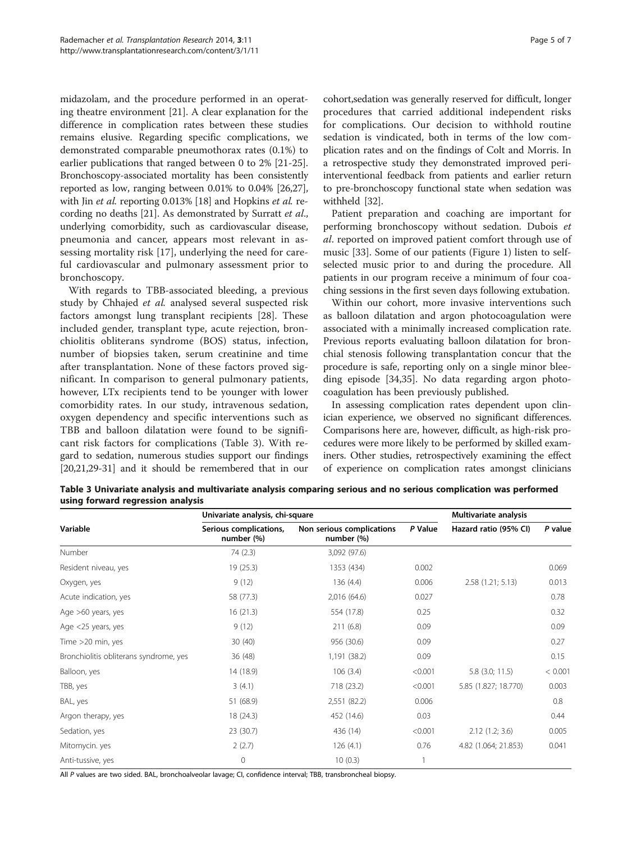midazolam, and the procedure performed in an operating theatre environment [\[21](#page-6-0)]. A clear explanation for the difference in complication rates between these studies remains elusive. Regarding specific complications, we demonstrated comparable pneumothorax rates (0.1%) to earlier publications that ranged between 0 to 2% [\[21-25](#page-6-0)]. Bronchoscopy-associated mortality has been consistently reported as low, ranging between 0.01% to 0.04% [\[26,27](#page-6-0)], with Jin *et al.* reporting 0.013% [[18](#page-5-0)] and Hopkins *et al.* recording no deaths [\[21](#page-6-0)]. As demonstrated by Surratt et al., underlying comorbidity, such as cardiovascular disease, pneumonia and cancer, appears most relevant in assessing mortality risk [[17\]](#page-5-0), underlying the need for careful cardiovascular and pulmonary assessment prior to bronchoscopy.

With regards to TBB-associated bleeding, a previous study by Chhajed et al. analysed several suspected risk factors amongst lung transplant recipients [\[28\]](#page-6-0). These included gender, transplant type, acute rejection, bronchiolitis obliterans syndrome (BOS) status, infection, number of biopsies taken, serum creatinine and time after transplantation. None of these factors proved significant. In comparison to general pulmonary patients, however, LTx recipients tend to be younger with lower comorbidity rates. In our study, intravenous sedation, oxygen dependency and specific interventions such as TBB and balloon dilatation were found to be significant risk factors for complications (Table 3). With regard to sedation, numerous studies support our findings [[20](#page-5-0)[,21,29-31\]](#page-6-0) and it should be remembered that in our cohort,sedation was generally reserved for difficult, longer procedures that carried additional independent risks for complications. Our decision to withhold routine sedation is vindicated, both in terms of the low complication rates and on the findings of Colt and Morris. In a retrospective study they demonstrated improved periinterventional feedback from patients and earlier return to pre-bronchoscopy functional state when sedation was withheld [\[32](#page-6-0)].

Patient preparation and coaching are important for performing bronchoscopy without sedation. Dubois et al. reported on improved patient comfort through use of music [\[33\]](#page-6-0). Some of our patients (Figure [1](#page-1-0)) listen to selfselected music prior to and during the procedure. All patients in our program receive a minimum of four coaching sessions in the first seven days following extubation.

Within our cohort, more invasive interventions such as balloon dilatation and argon photocoagulation were associated with a minimally increased complication rate. Previous reports evaluating balloon dilatation for bronchial stenosis following transplantation concur that the procedure is safe, reporting only on a single minor bleeding episode [[34](#page-6-0),[35](#page-6-0)]. No data regarding argon photocoagulation has been previously published.

In assessing complication rates dependent upon clinician experience, we observed no significant differences. Comparisons here are, however, difficult, as high-risk procedures were more likely to be performed by skilled examiners. Other studies, retrospectively examining the effect of experience on complication rates amongst clinicians

Table 3 Univariate analysis and multivariate analysis comparing serious and no serious complication was performed using forward regression analysis

|                                        | Univariate analysis, chi-square      |                                         |         | Multivariate analysis |         |
|----------------------------------------|--------------------------------------|-----------------------------------------|---------|-----------------------|---------|
| Variable                               | Serious complications,<br>number (%) | Non serious complications<br>number (%) | P Value | Hazard ratio (95% CI) | P value |
| Number                                 | 74 (2.3)                             | 3,092 (97.6)                            |         |                       |         |
| Resident niveau, yes                   | 19(25.3)                             | 1353 (434)                              | 0.002   |                       | 0.069   |
| Oxygen, yes                            | 9(12)                                | 136(4.4)                                | 0.006   | 2.58(1.21; 5.13)      | 0.013   |
| Acute indication, yes                  | 58 (77.3)                            | 2,016 (64.6)                            | 0.027   |                       | 0.78    |
| Age >60 years, yes                     | 16(21.3)                             | 554 (17.8)                              | 0.25    |                       | 0.32    |
| Age <25 years, yes                     | 9(12)                                | 211(6.8)                                | 0.09    |                       | 0.09    |
| Time >20 min, yes                      | 30(40)                               | 956 (30.6)                              | 0.09    |                       | 0.27    |
| Bronchiolitis obliterans syndrome, yes | 36(48)                               | 1,191 (38.2)                            | 0.09    |                       | 0.15    |
| Balloon, yes                           | 14 (18.9)                            | 106(3.4)                                | < 0.001 | $5.8$ (3.0; 11.5)     | < 0.001 |
| TBB, yes                               | 3(4.1)                               | 718 (23.2)                              | < 0.001 | 5.85 (1.827; 18.770)  | 0.003   |
| BAL, yes                               | 51 (68.9)                            | 2,551 (82.2)                            | 0.006   |                       | 0.8     |
| Argon therapy, yes                     | 18 (24.3)                            | 452 (14.6)                              | 0.03    |                       | 0.44    |
| Sedation, yes                          | 23 (30.7)                            | 436 (14)                                | < 0.001 | 2.12(1.2; 3.6)        | 0.005   |
| Mitomycin. yes                         | 2(2.7)                               | 126(4.1)                                | 0.76    | 4.82 (1.064; 21.853)  | 0.041   |
| Anti-tussive, yes                      | $\circ$                              | 10(0.3)                                 |         |                       |         |

All P values are two sided. BAL, bronchoalveolar lavage; CI, confidence interval; TBB, transbroncheal biopsy.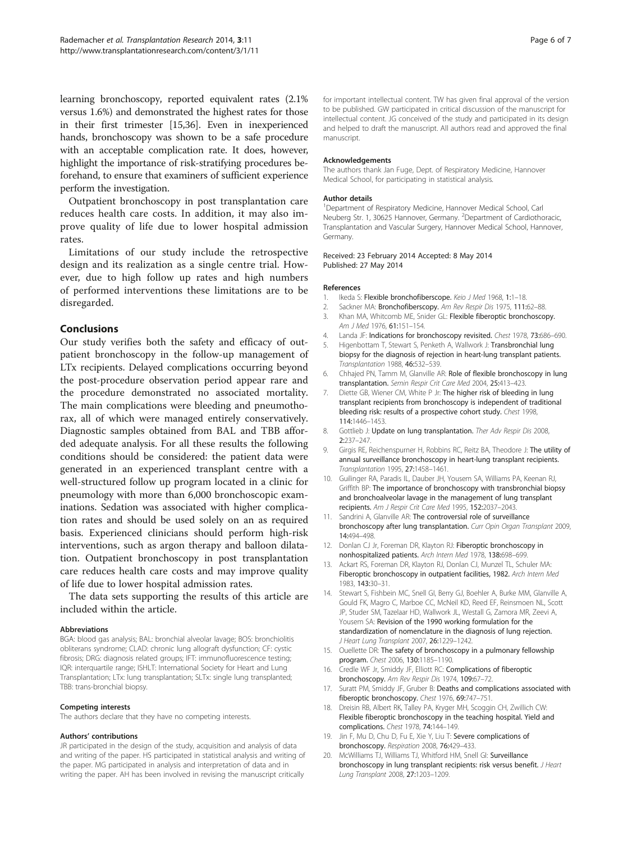<span id="page-5-0"></span>learning bronchoscopy, reported equivalent rates (2.1% versus 1.6%) and demonstrated the highest rates for those in their first trimester [15[,36](#page-6-0)]. Even in inexperienced hands, bronchoscopy was shown to be a safe procedure with an acceptable complication rate. It does, however, highlight the importance of risk-stratifying procedures beforehand, to ensure that examiners of sufficient experience perform the investigation.

Outpatient bronchoscopy in post transplantation care reduces health care costs. In addition, it may also improve quality of life due to lower hospital admission rates.

Limitations of our study include the retrospective design and its realization as a single centre trial. However, due to high follow up rates and high numbers of performed interventions these limitations are to be disregarded.

## Conclusions

Our study verifies both the safety and efficacy of outpatient bronchoscopy in the follow-up management of LTx recipients. Delayed complications occurring beyond the post-procedure observation period appear rare and the procedure demonstrated no associated mortality. The main complications were bleeding and pneumothorax, all of which were managed entirely conservatively. Diagnostic samples obtained from BAL and TBB afforded adequate analysis. For all these results the following conditions should be considered: the patient data were generated in an experienced transplant centre with a well-structured follow up program located in a clinic for pneumology with more than 6,000 bronchoscopic examinations. Sedation was associated with higher complication rates and should be used solely on an as required basis. Experienced clinicians should perform high-risk interventions, such as argon therapy and balloon dilatation. Outpatient bronchoscopy in post transplantation care reduces health care costs and may improve quality of life due to lower hospital admission rates.

The data sets supporting the results of this article are included within the article.

#### Abbreviations

BGA: blood gas analysis; BAL: bronchial alveolar lavage; BOS: bronchiolitis obliterans syndrome; CLAD: chronic lung allograft dysfunction; CF: cystic fibrosis; DRG: diagnosis related groups; IFT: immunofluorescence testing; IQR: interquartile range; ISHLT: International Society for Heart and Lung Transplantation; LTx: lung transplantation; SLTx: single lung transplanted; TBB: trans-bronchial biopsy.

#### Competing interests

The authors declare that they have no competing interests.

#### Authors' contributions

JR participated in the design of the study, acquisition and analysis of data and writing of the paper. HS participated in statistical analysis and writing of the paper. MG participated in analysis and interpretation of data and in writing the paper. AH has been involved in revising the manuscript critically

for important intellectual content. TW has given final approval of the version to be published. GW participated in critical discussion of the manuscript for intellectual content. JG conceived of the study and participated in its design and helped to draft the manuscript. All authors read and approved the final manuscript.

#### Acknowledgements

The authors thank Jan Fuge, Dept. of Respiratory Medicine, Hannover Medical School, for participating in statistical analysis.

#### Author details

<sup>1</sup>Department of Respiratory Medicine, Hannover Medical School, Carl Neuberg Str. 1, 30625 Hannover, Germany. <sup>2</sup>Department of Cardiothoracic Transplantation and Vascular Surgery, Hannover Medical School, Hannover, Germany.

#### Received: 23 February 2014 Accepted: 8 May 2014 Published: 27 May 2014

#### References

- 1. Ikeda S: Flexible bronchofiberscope. Keio J Med 1968, 1:1-18.
- 2. Sackner MA: Bronchofiberscopy. Am Rev Respir Dis 1975, 111:62-88.
- 3. Khan MA, Whitcomb ME, Snider GL: Flexible fiberoptic bronchoscopy. Am J Med 1976, 61:151–154.
- 4. Landa JF: Indications for bronchoscopy revisited. Chest 1978, 73:686-690.
- Higenbottam T, Stewart S, Penketh A, Wallwork J: Transbronchial lung biopsy for the diagnosis of rejection in heart-lung transplant patients. Transplantation 1988, 46:532–539.
- 6. Chhajed PN, Tamm M, Glanville AR: Role of flexible bronchoscopy in lung transplantation. Semin Respir Crit Care Med 2004, 25:413–423.
- 7. Diette GB, Wiener CM, White P Jr: The higher risk of bleeding in lung transplant recipients from bronchoscopy is independent of traditional bleeding risk: results of a prospective cohort study. Chest 1998, 114:1446–1453.
- 8. Gottlieb J: Update on lung transplantation. Ther Adv Respir Dis 2008, 2:237–247.
- 9. Girgis RE, Reichenspurner H, Robbins RC, Reitz BA, Theodore J: The utility of annual surveillance bronchoscopy in heart-lung transplant recipients. Transplantation 1995, 27:1458–1461.
- 10. Guilinger RA, Paradis IL, Dauber JH, Yousem SA, Williams PA, Keenan RJ, Griffith BP: The importance of bronchoscopy with transbronchial biopsy and bronchoalveolar lavage in the management of lung transplant recipients. Am J Respir Crit Care Med 1995, 152:2037–2043.
- 11. Sandrini A, Glanville AR: The controversial role of surveillance bronchoscopy after lung transplantation. Curr Opin Organ Transplant 2009, 14:494–498.
- 12. Donlan CJ Jr, Foreman DR, Klayton RJ: Fiberoptic bronchoscopy in nonhospitalized patients. Arch Intern Med 1978, 138:698–699.
- 13. Ackart RS, Foreman DR, Klayton RJ, Donlan CJ, Munzel TL, Schuler MA: Fiberoptic bronchoscopy in outpatient facilities, 1982. Arch Intern Med 1983, 143:30–31.
- 14. Stewart S, Fishbein MC, Snell GI, Berry GJ, Boehler A, Burke MM, Glanville A, Gould FK, Magro C, Marboe CC, McNeil KD, Reed EF, Reinsmoen NL, Scott JP, Studer SM, Tazelaar HD, Wallwork JL, Westall G, Zamora MR, Zeevi A, Yousem SA: Revision of the 1990 working formulation for the standardization of nomenclature in the diagnosis of lung rejection. J Heart Lung Transplant 2007, 26:1229–1242.
- 15. Ouellette DR: The safety of bronchoscopy in a pulmonary fellowship program. Chest 2006, 130:1185–1190.
- 16. Credle WF Jr, Smiddy JF, Elliott RC: Complications of fiberoptic bronchoscopy. Am Rev Respir Dis 1974, 109:67–72.
- 17. Suratt PM, Smiddy JF, Gruber B: Deaths and complications associated with fiberoptic bronchoscopy. Chest 1976, 69:747-751.
- 18. Dreisin RB, Albert RK, Talley PA, Kryger MH, Scoggin CH, Zwillich CW: Flexible fiberoptic bronchoscopy in the teaching hospital. Yield and complications. Chest 1978, 74:144–149.
- 19. Jin F, Mu D, Chu D, Fu E, Xie Y, Liu T: Severe complications of bronchoscopy. Respiration 2008, 76:429–433.
- 20. McWilliams TJ, Williams TJ, Whitford HM, Snell GI: Surveillance bronchoscopy in lung transplant recipients: risk versus benefit. J Heart Lung Transplant 2008, 27:1203–1209.